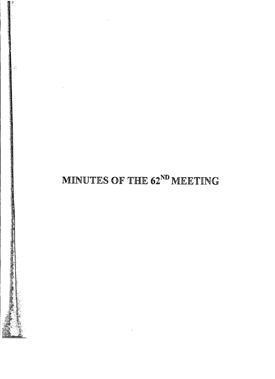# MINUTES OF THE 62<sup>ND</sup> MEETING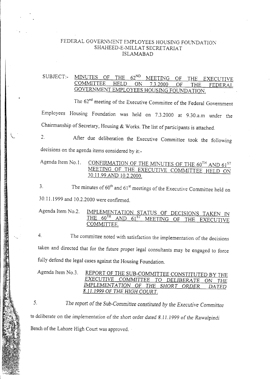#### FEDERAL GOVERNMENT EMPLOYEES HOUSING FOUNDATION SHAHEED-E-MILLAT SECRETARIAT ISLAMABAD

#### SUBJECT:- MINUTES OF THE 62<sup>ND</sup> MEETING OF THE EXECUTIVE COMMITTEE HELD ON 7.3.2000 GOVERNMENT EMPLOYEES HOUSING FOUNDATION.

The 62<sup>nd</sup> meeting of the Executive Committee of the Federal Government Employees Housing Foundation was held on 7.3.2000 at 9.30.a.m under the Chairmanship of Secretary, Housing & Works. The list of participants is attached.

2. After due deliberation the Executive Committee took the following decisions on the agenda items considered by it:-

Agenda Item No.1. CONFIRMATION OF THE MINUTES OF THE 60<sup>TH</sup> AND 61<sup>ST</sup> MEETING OF THE EXECUTIVE COMMITTEE HELD ON 30.11.99 AND 10.2.2000.

;g-

تى<br>س

3. The minutes of  $60<sup>th</sup>$  and  $61<sup>st</sup>$  meetings of the Executive Committee held on 30.11.1999 and 10.2.2000 were confirmed.

Agenda Item No.2. IMPLEMENTATION STATUS OF DECISIONS TAKEN IN<br>THE 60<sup>TH</sup> AND 61<sup>ST</sup> MEETING OF THE EXECUTIVE MEETING OF THE EXECUTIVE COMMITTEE.

fully defend the legal cases against the Housing Foundation. The committee noted with satisfaction the implementation of the decisions 4. taken and directed that for the future proper legal consultants may be engaged to force

Agenda Item *NO.3.* REPORT OF *THE* SUB-COMMITTEE CONSTITUTED BY THE EXECUTIVE *COMMITTEE* TO *DELIBERATE* ON *THE IMPLEMENTATION OF THE SHORT ORDER DATED 8.11.1999 OF THE HIGH COUR T.*

Bench of the Lahore High Court was approved. to *deliberate* on *the implementation* of *the short* order dated 8.11.1999 of *the Rawalpindi The report* of *the Sub-Committee constituted by the Executive Committee* 5.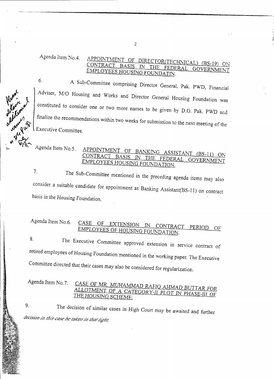## Agenda Item No.4. APPOINTMENT OF DIRECTOR(TECHNICAL) (BS-19) ON **BASIS IN THE FEDERAL GOVERNMENT** EMPLOYEES HOUSING FOUNDATIN.

6.

~- - ----

**化化学的 医血管细胞的 医神经小脑神经神经神经神经神经神经神经神经** 

Executive Committee. constituted to consider one or two more names to be given by D.G. Pak. PWD and Adviser, *MIO* Housing and Works and Director General Housing Foundation was A Sub-Committee comprising Director General, Pak. PWD, Financial finalize the recommendations within two weeks for submission to the next meeting of the

Agenda Item No.5. APPOINTMENT OF BANKING ASSISTANT (BS-11) ON **BASIS IN THE FEDERAL GOVERNMENT** EMPLOYEES *HOUSING FOUNDATION.*

7. The Sub-Committee mentioned in the preceding agenda items may also consider a suitable candidate for appointment as Banking Assistant(BS-ll) on contract *basis in* the *Housing* Foundation.

Committee directed that their cases may also be considered for regularization. retired employees of Housing Foundation mentioned in the working paper. The Executive *The* Executive Committee approved extension in service contract of 8.

Agenda Item No.7. *CASE OF MR. MUHAMMAD RAFIQ AHMAD BUTTAR FOR ALLOTMENT* OF A *CA TEGOR Y-II PLOT* IN *PHASE-III* OF *THE HOUSING SCHEME.*

9. The decision of similar cases in High Court may be awaited and further decision in this case be taken in that light.

2

Agenda Item NO.6. CASE OF EXTENSION IN *CONTRACT* PERIOD OF EMPLOYEES OF HOUSING FOUNDATION.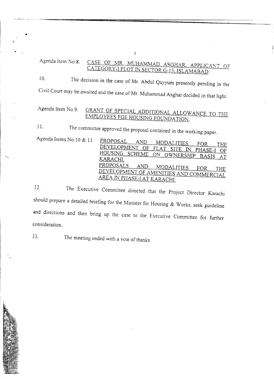Agenda Item No.8. CASE OF MR. MUHAMMAD ASGHAR, APPLICANT OF CATEGORY-I PLOT IN SECTOR G-13, ISLAMABAD.

10. The decision in the case of Mr. Abdul Qayyum presently pending in the Civil Court may be awaited and the case of Mr. Muhammad Asghar decided in that light.

## Agenda Item No.9. GRANT OF SPECIAL ADDITIONAL ALLOWANCE TO THE EMPLOYEES FGE HOUSING FOUNDATION.

11. The committee approved the proposal contained in the working paper.

Agenda Items No.10 & 11. PROPOSAL AND MODALITIES FOR THE DEVELOPMENT OF FLAT SITE IN PHASE-I OF HOUSING SCHEME ON OWNERSHIP BASIS AT KARACHI. <u>FROPOSALS AND MODALITIES</u> FOR THE DEVELOPMENT OF AMENITIES AND COMMERCIAL AREA IN PHASE-I AT KARACHI.

12. The Executive Committee directed that the Project Director Karachi should prepare a detailed briefing for the Minister for Housing  $&$  Works, seek guideline and directions and then bring up the case to the Executive Committee for further consideration.

13. The meeting ended with <sup>a</sup> vote of thanks.

••

3